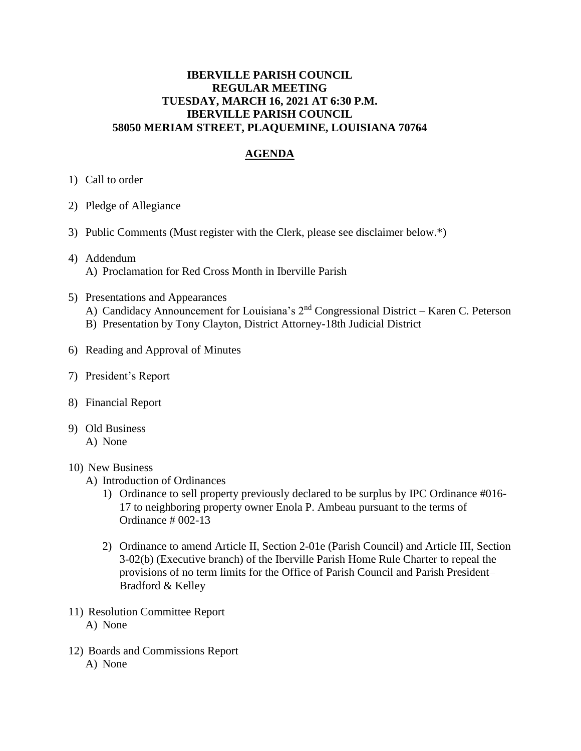## **IBERVILLE PARISH COUNCIL REGULAR MEETING TUESDAY, MARCH 16, 2021 AT 6:30 P.M. IBERVILLE PARISH COUNCIL 58050 MERIAM STREET, PLAQUEMINE, LOUISIANA 70764**

# **AGENDA**

- 1) Call to order
- 2) Pledge of Allegiance
- 3) Public Comments (Must register with the Clerk, please see disclaimer below.\*)
- 4) Addendum A) Proclamation for Red Cross Month in Iberville Parish
- 5) Presentations and Appearances
	- A) Candidacy Announcement for Louisiana's 2<sup>nd</sup> Congressional District Karen C. Peterson
	- B) Presentation by Tony Clayton, District Attorney-18th Judicial District
- 6) Reading and Approval of Minutes
- 7) President's Report
- 8) Financial Report
- 9) Old Business
	- A) None

#### 10) New Business

- A) Introduction of Ordinances
	- 1) Ordinance to sell property previously declared to be surplus by IPC Ordinance #016- 17 to neighboring property owner Enola P. Ambeau pursuant to the terms of Ordinance # 002-13
	- 2) Ordinance to amend Article II, Section 2-01e (Parish Council) and Article III, Section 3-02(b) (Executive branch) of the Iberville Parish Home Rule Charter to repeal the provisions of no term limits for the Office of Parish Council and Parish President– Bradford & Kelley
- 11) Resolution Committee Report A) None
- 12) Boards and Commissions Report A) None